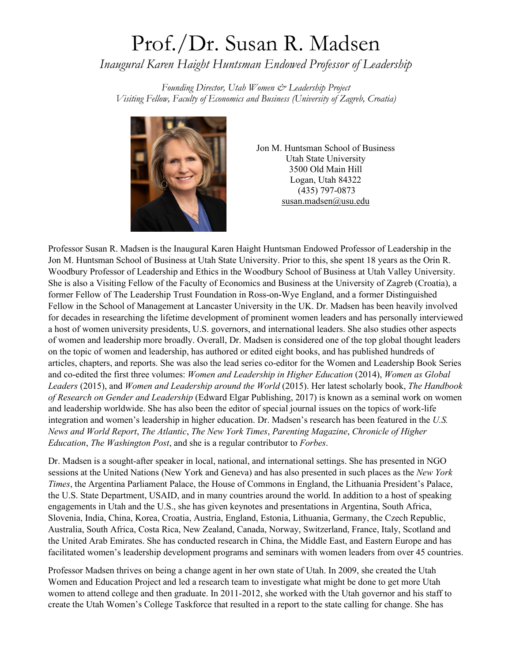## Prof./Dr. Susan R. Madsen

*Inaugural Karen Haight Huntsman Endowed Professor of Leadership*

*Founding Director, Utah Women & Leadership Project Visiting Fellow, Faculty of Economics and Business (University of Zagreb, Croatia)*



Jon M. Huntsman School of Business Utah State University 3500 Old Main Hill Logan, Utah 84322 (435) 797-0873 [susan.madsen@usu.edu](mailto:susan.madsen@usu.edu)

Professor Susan R. Madsen is the Inaugural Karen Haight Huntsman Endowed Professor of Leadership in the Jon M. Huntsman School of Business at Utah State University. Prior to this, she spent 18 years as the Orin R. Woodbury Professor of Leadership and Ethics in the Woodbury School of Business at Utah Valley University. She is also a Visiting Fellow of the Faculty of Economics and Business at the University of Zagreb (Croatia), a former Fellow of The Leadership Trust Foundation in Ross-on-Wye England, and a former Distinguished Fellow in the School of Management at Lancaster University in the UK. Dr. Madsen has been heavily involved for decades in researching the lifetime development of prominent women leaders and has personally interviewed a host of women university presidents, U.S. governors, and international leaders. She also studies other aspects of women and leadership more broadly. Overall, Dr. Madsen is considered one of the top global thought leaders on the topic of women and leadership, has authored or edited eight books, and has published hundreds of articles, chapters, and reports. She was also the lead series co-editor for the Women and Leadership Book Series and co-edited the first three volumes: *Women and Leadership in Higher Education* (2014), *Women as Global Leaders* (2015), and *Women and Leadership around the World* (2015). Her latest scholarly book, *The Handbook of Research on Gender and Leadership* (Edward Elgar Publishing, 2017) is known as a seminal work on women and leadership worldwide. She has also been the editor of special journal issues on the topics of work-life integration and women's leadership in higher education. Dr. Madsen's research has been featured in the *U.S. News and World Report*, *The Atlantic*, *The New York Times*, *Parenting Magazine*, *Chronicle of Higher Education*, *The Washington Post*, and she is a regular contributor to *Forbes*.

Dr. Madsen is a sought-after speaker in local, national, and international settings. She has presented in NGO sessions at the United Nations (New York and Geneva) and has also presented in such places as the *New York Times*, the Argentina Parliament Palace, the House of Commons in England, the Lithuania President's Palace, the U.S. State Department, USAID, and in many countries around the world. In addition to a host of speaking engagements in Utah and the U.S., she has given keynotes and presentations in Argentina, South Africa, Slovenia, India, China, Korea, Croatia, Austria, England, Estonia, Lithuania, Germany, the Czech Republic, Australia, South Africa, Costa Rica, New Zealand, Canada, Norway, Switzerland, France, Italy, Scotland and the United Arab Emirates. She has conducted research in China, the Middle East, and Eastern Europe and has facilitated women's leadership development programs and seminars with women leaders from over 45 countries.

Professor Madsen thrives on being a change agent in her own state of Utah. In 2009, she created the Utah Women and Education Project and led a research team to investigate what might be done to get more Utah women to attend college and then graduate. In 2011-2012, she worked with the Utah governor and his staff to create the Utah Women's College Taskforce that resulted in a report to the state calling for change. She has